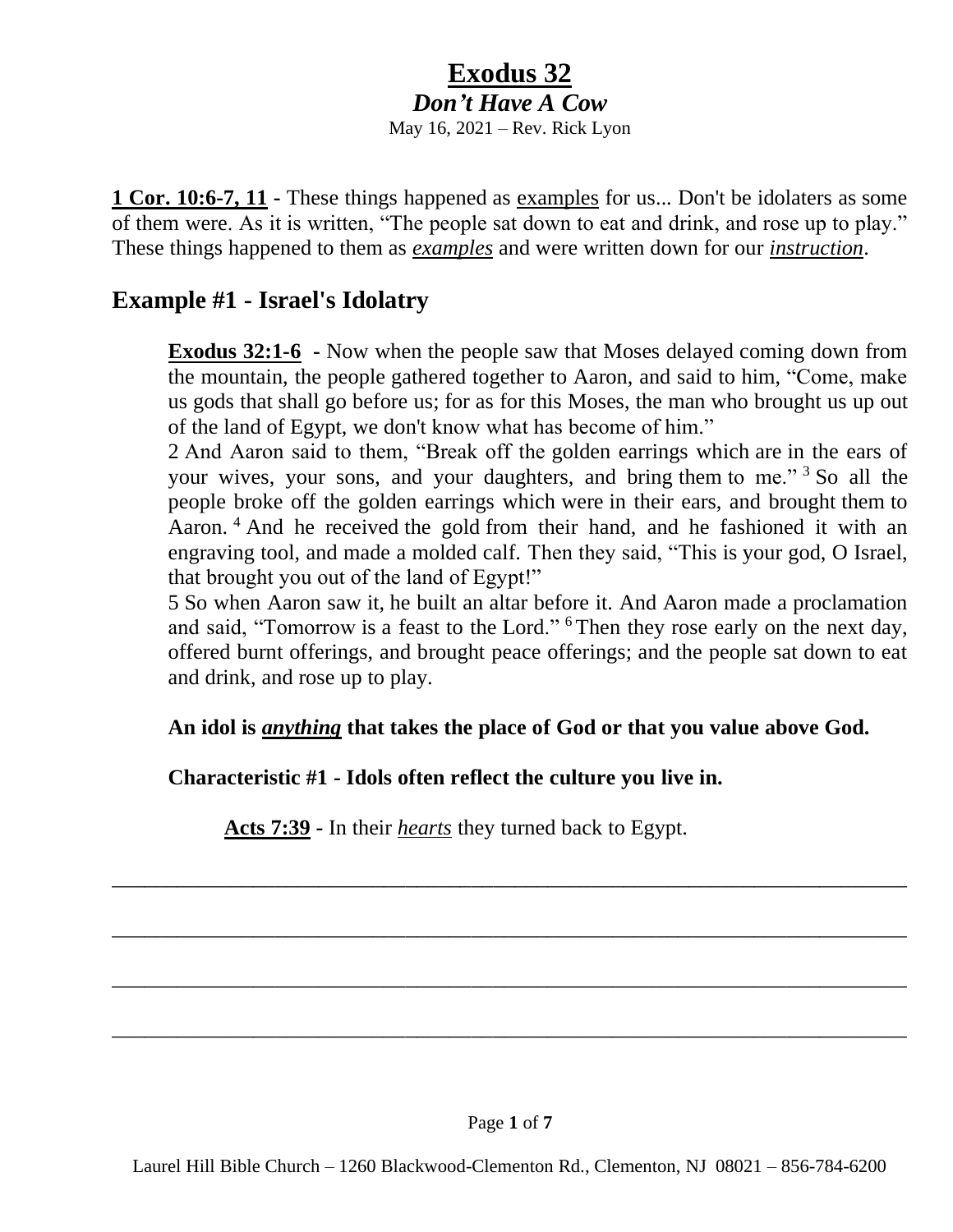# **Exodus 32** *Don't Have A Cow*

May 16, 2021 – Rev. Rick Lyon

**1 Cor. 10:6-7, 11 -** These things happened as examples for us... Don't be idolaters as some of them were. As it is written, "The people sat down to eat and drink, and rose up to play." These things happened to them as *examples* and were written down for our *instruction*.

## **Example #1 - Israel's Idolatry**

**Exodus 32:1-6 -** Now when the people saw that Moses delayed coming down from the mountain, the people gathered together to Aaron, and said to him, "Come, make us gods that shall go before us; for as for this Moses, the man who brought us up out of the land of Egypt, we don't know what has become of him."

2 And Aaron said to them, "Break off the golden earrings which are in the ears of your wives, your sons, and your daughters, and bring them to me."<sup>3</sup> So all the people broke off the golden earrings which were in their ears, and brought them to Aaron.<sup>4</sup> And he received the gold from their hand, and he fashioned it with an engraving tool, and made a molded calf. Then they said, "This is your god, O Israel, that brought you out of the land of Egypt!"

5 So when Aaron saw it, he built an altar before it. And Aaron made a proclamation and said, "Tomorrow is a feast to the Lord." <sup>6</sup> Then they rose early on the next day, offered burnt offerings, and brought peace offerings; and the people sat down to eat and drink, and rose up to play.

**An idol is** *anything* **that takes the place of God or that you value above God.**

\_\_\_\_\_\_\_\_\_\_\_\_\_\_\_\_\_\_\_\_\_\_\_\_\_\_\_\_\_\_\_\_\_\_\_\_\_\_\_\_\_\_\_\_\_\_\_\_\_\_\_\_\_\_\_\_\_\_\_\_\_\_\_\_\_\_\_\_\_\_\_\_\_

\_\_\_\_\_\_\_\_\_\_\_\_\_\_\_\_\_\_\_\_\_\_\_\_\_\_\_\_\_\_\_\_\_\_\_\_\_\_\_\_\_\_\_\_\_\_\_\_\_\_\_\_\_\_\_\_\_\_\_\_\_\_\_\_\_\_\_\_\_\_\_\_\_

\_\_\_\_\_\_\_\_\_\_\_\_\_\_\_\_\_\_\_\_\_\_\_\_\_\_\_\_\_\_\_\_\_\_\_\_\_\_\_\_\_\_\_\_\_\_\_\_\_\_\_\_\_\_\_\_\_\_\_\_\_\_\_\_\_\_\_\_\_\_\_\_\_

\_\_\_\_\_\_\_\_\_\_\_\_\_\_\_\_\_\_\_\_\_\_\_\_\_\_\_\_\_\_\_\_\_\_\_\_\_\_\_\_\_\_\_\_\_\_\_\_\_\_\_\_\_\_\_\_\_\_\_\_\_\_\_\_\_\_\_\_\_\_\_\_\_

### **Characteristic #1 - Idols often reflect the culture you live in.**

**Acts 7:39 -** In their *hearts* they turned back to Egypt.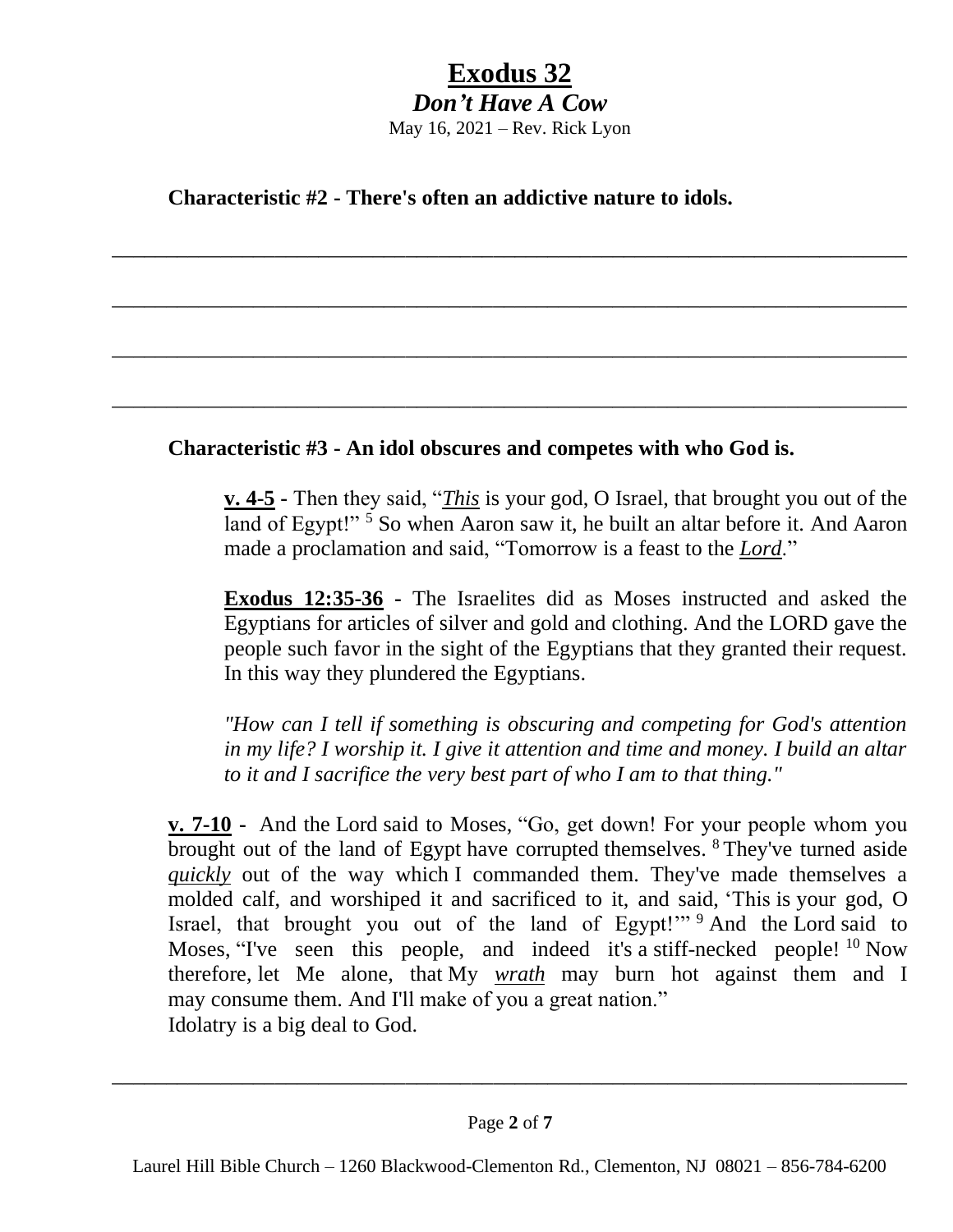# **Exodus 32**

*Don't Have A Cow* May 16, 2021 – Rev. Rick Lyon

\_\_\_\_\_\_\_\_\_\_\_\_\_\_\_\_\_\_\_\_\_\_\_\_\_\_\_\_\_\_\_\_\_\_\_\_\_\_\_\_\_\_\_\_\_\_\_\_\_\_\_\_\_\_\_\_\_\_\_\_\_\_\_\_\_\_\_\_\_\_\_\_\_

\_\_\_\_\_\_\_\_\_\_\_\_\_\_\_\_\_\_\_\_\_\_\_\_\_\_\_\_\_\_\_\_\_\_\_\_\_\_\_\_\_\_\_\_\_\_\_\_\_\_\_\_\_\_\_\_\_\_\_\_\_\_\_\_\_\_\_\_\_\_\_\_\_

\_\_\_\_\_\_\_\_\_\_\_\_\_\_\_\_\_\_\_\_\_\_\_\_\_\_\_\_\_\_\_\_\_\_\_\_\_\_\_\_\_\_\_\_\_\_\_\_\_\_\_\_\_\_\_\_\_\_\_\_\_\_\_\_\_\_\_\_\_\_\_\_\_

\_\_\_\_\_\_\_\_\_\_\_\_\_\_\_\_\_\_\_\_\_\_\_\_\_\_\_\_\_\_\_\_\_\_\_\_\_\_\_\_\_\_\_\_\_\_\_\_\_\_\_\_\_\_\_\_\_\_\_\_\_\_\_\_\_\_\_\_\_\_\_\_\_

**Characteristic #2 - There's often an addictive nature to idols.**

## **Characteristic #3 - An idol obscures and competes with who God is.**

**v. 4-5 -** Then they said, "*This* is your god, O Israel, that brought you out of the land of Egypt!"<sup>5</sup> So when Aaron saw it, he built an altar before it. And Aaron made a proclamation and said, "Tomorrow is a feast to the *Lord*."

**Exodus 12:35-36 -** The Israelites did as Moses instructed and asked the Egyptians for articles of silver and gold and clothing. And the LORD gave the people such favor in the sight of the Egyptians that they granted their request. In this way they plundered the Egyptians.

*"How can I tell if something is obscuring and competing for God's attention in my life? I worship it. I give it attention and time and money. I build an altar to it and I sacrifice the very best part of who I am to that thing."*

**v. 7-10 -** And the Lord said to Moses, "Go, get down! For your people whom you brought out of the land of Egypt have corrupted themselves. <sup>8</sup> They've turned aside *quickly* out of the way which I commanded them. They've made themselves a molded calf, and worshiped it and sacrificed to it, and said, 'This is your god, O Israel, that brought you out of the land of Egypt!'" <sup>9</sup> And the Lord said to Moses, "I've seen this people, and indeed it's a stiff-necked people! <sup>10</sup> Now therefore, let Me alone, that My *wrath* may burn hot against them and I may consume them. And I'll make of you a great nation." Idolatry is a big deal to God.

\_\_\_\_\_\_\_\_\_\_\_\_\_\_\_\_\_\_\_\_\_\_\_\_\_\_\_\_\_\_\_\_\_\_\_\_\_\_\_\_\_\_\_\_\_\_\_\_\_\_\_\_\_\_\_\_\_\_\_\_\_\_\_\_\_\_\_\_\_\_\_\_\_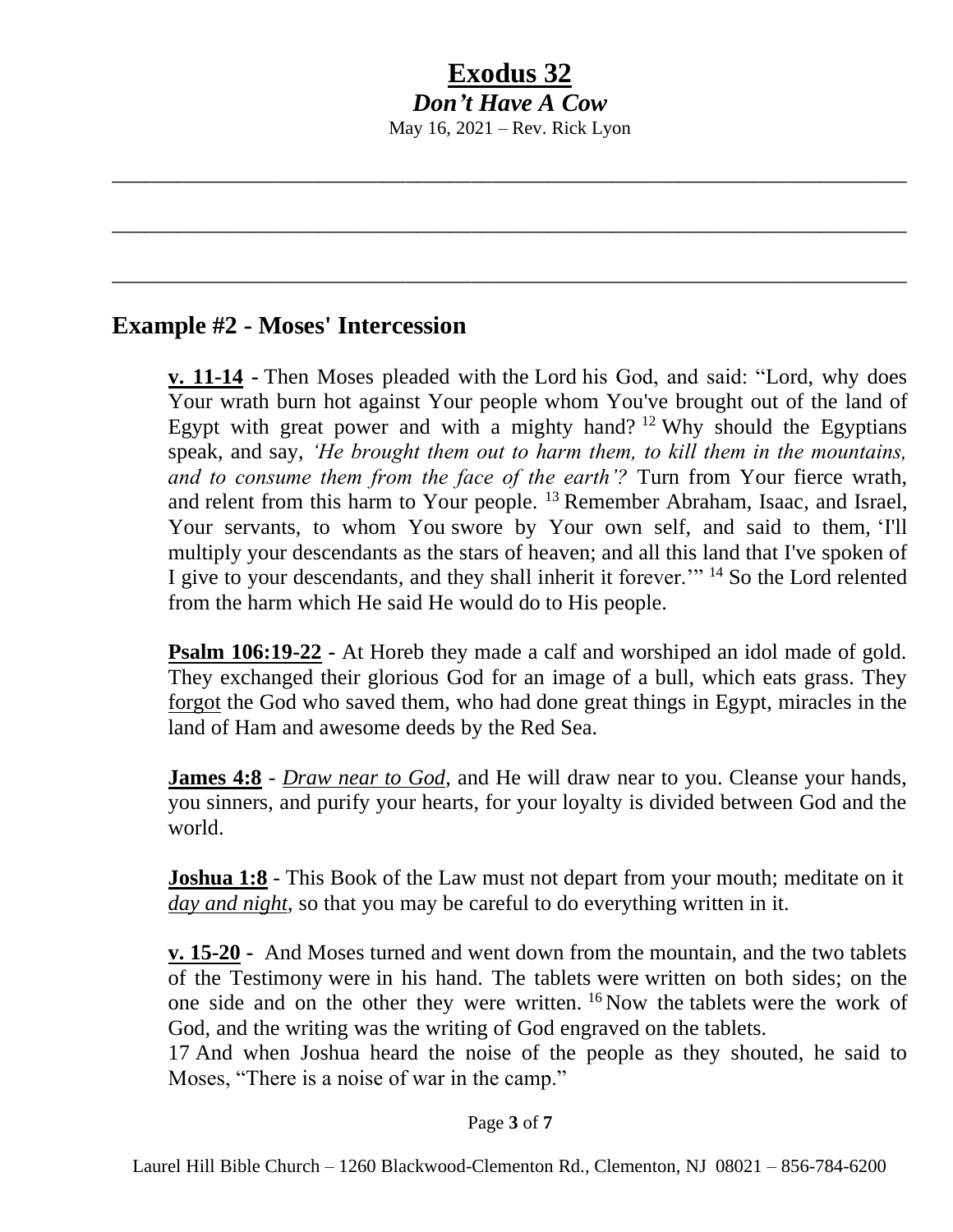# **Exodus 32** *Don't Have A Cow* May 16, 2021 – Rev. Rick Lyon

\_\_\_\_\_\_\_\_\_\_\_\_\_\_\_\_\_\_\_\_\_\_\_\_\_\_\_\_\_\_\_\_\_\_\_\_\_\_\_\_\_\_\_\_\_\_\_\_\_\_\_\_\_\_\_\_\_\_\_\_\_\_\_\_\_\_\_\_\_\_\_\_\_

\_\_\_\_\_\_\_\_\_\_\_\_\_\_\_\_\_\_\_\_\_\_\_\_\_\_\_\_\_\_\_\_\_\_\_\_\_\_\_\_\_\_\_\_\_\_\_\_\_\_\_\_\_\_\_\_\_\_\_\_\_\_\_\_\_\_\_\_\_\_\_\_\_

\_\_\_\_\_\_\_\_\_\_\_\_\_\_\_\_\_\_\_\_\_\_\_\_\_\_\_\_\_\_\_\_\_\_\_\_\_\_\_\_\_\_\_\_\_\_\_\_\_\_\_\_\_\_\_\_\_\_\_\_\_\_\_\_\_\_\_\_\_\_\_\_\_

## **Example #2 - Moses' Intercession**

**v. 11-14 -** Then Moses pleaded with the Lord his God, and said: "Lord, why does Your wrath burn hot against Your people whom You've brought out of the land of Egypt with great power and with a mighty hand?  $12$  Why should the Egyptians speak, and say, *'He brought them out to harm them, to kill them in the mountains, and to consume them from the face of the earth'?* Turn from Your fierce wrath, and relent from this harm to Your people.  $^{13}$  Remember Abraham, Isaac, and Israel, Your servants, to whom You swore by Your own self, and said to them, 'I'll multiply your descendants as the stars of heaven; and all this land that I've spoken of I give to your descendants, and they shall inherit it forever."<sup>14</sup> So the Lord relented from the harm which He said He would do to His people.

**Psalm 106:19-22 -** At Horeb they made a calf and worshiped an idol made of gold. They exchanged their glorious God for an image of a bull, which eats grass. They forgot the God who saved them, who had done great things in Egypt, miracles in the land of Ham and awesome deeds by the Red Sea.

**James 4:8** - *Draw near to God*, and He will draw near to you. Cleanse your hands, you sinners, and purify your hearts, for your loyalty is divided between God and the world.

**Joshua 1:8** - This Book of the Law must not depart from your mouth; meditate on it *day and night*, so that you may be careful to do everything written in it.

**v. 15-20 -** And Moses turned and went down from the mountain, and the two tablets of the Testimony were in his hand. The tablets were written on both sides; on the one side and on the other they were written. <sup>16</sup> Now the tablets were the work of God, and the writing was the writing of God engraved on the tablets.

17 And when Joshua heard the noise of the people as they shouted, he said to Moses, "There is a noise of war in the camp."

#### Page **3** of **7**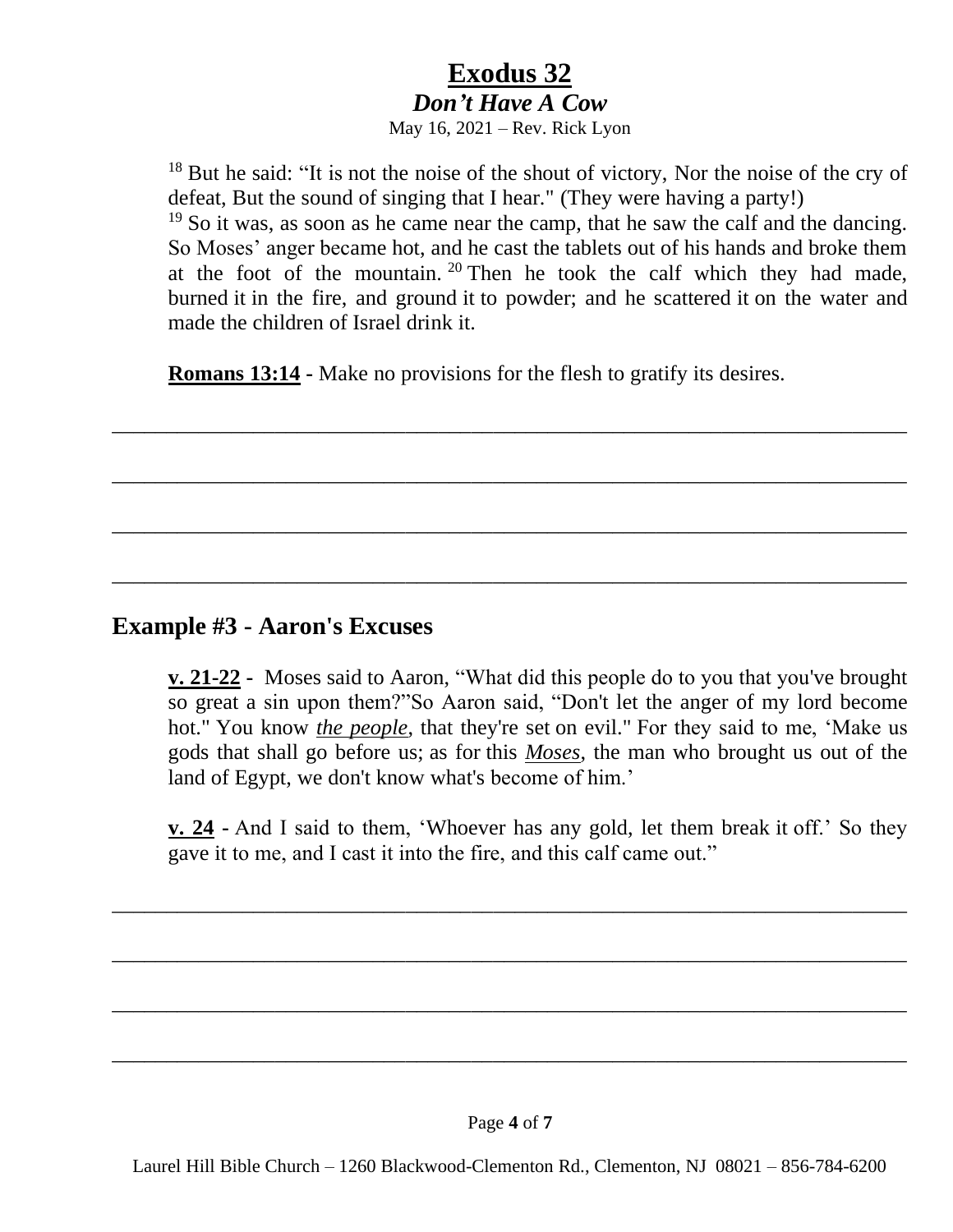# **Exodus 32** *Don't Have A Cow*

May 16, 2021 – Rev. Rick Lyon

<sup>18</sup> But he said: "It is not the noise of the shout of victory, Nor the noise of the cry of defeat, But the sound of singing that I hear." (They were having a party!)

<sup>19</sup> So it was, as soon as he came near the camp, that he saw the calf and the dancing. So Moses' anger became hot, and he cast the tablets out of his hands and broke them at the foot of the mountain. <sup>20</sup> Then he took the calf which they had made, burned it in the fire, and ground it to powder; and he scattered it on the water and made the children of Israel drink it.

**Romans 13:14 -** Make no provisions for the flesh to gratify its desires.

\_\_\_\_\_\_\_\_\_\_\_\_\_\_\_\_\_\_\_\_\_\_\_\_\_\_\_\_\_\_\_\_\_\_\_\_\_\_\_\_\_\_\_\_\_\_\_\_\_\_\_\_\_\_\_\_\_\_\_\_\_\_\_\_\_\_\_\_\_\_\_\_\_

\_\_\_\_\_\_\_\_\_\_\_\_\_\_\_\_\_\_\_\_\_\_\_\_\_\_\_\_\_\_\_\_\_\_\_\_\_\_\_\_\_\_\_\_\_\_\_\_\_\_\_\_\_\_\_\_\_\_\_\_\_\_\_\_\_\_\_\_\_\_\_\_\_

\_\_\_\_\_\_\_\_\_\_\_\_\_\_\_\_\_\_\_\_\_\_\_\_\_\_\_\_\_\_\_\_\_\_\_\_\_\_\_\_\_\_\_\_\_\_\_\_\_\_\_\_\_\_\_\_\_\_\_\_\_\_\_\_\_\_\_\_\_\_\_\_\_

\_\_\_\_\_\_\_\_\_\_\_\_\_\_\_\_\_\_\_\_\_\_\_\_\_\_\_\_\_\_\_\_\_\_\_\_\_\_\_\_\_\_\_\_\_\_\_\_\_\_\_\_\_\_\_\_\_\_\_\_\_\_\_\_\_\_\_\_\_\_\_\_\_

## **Example #3 - Aaron's Excuses**

**v. 21-22 -** Moses said to Aaron, "What did this people do to you that you've brought so great a sin upon them?"So Aaron said, "Don't let the anger of my lord become hot." You know *the people*, that they're set on evil." For they said to me, 'Make us gods that shall go before us; as for this *Moses*, the man who brought us out of the land of Egypt, we don't know what's become of him.'

**v. 24 -** And I said to them, 'Whoever has any gold, let them break it off.' So they gave it to me, and I cast it into the fire, and this calf came out."

\_\_\_\_\_\_\_\_\_\_\_\_\_\_\_\_\_\_\_\_\_\_\_\_\_\_\_\_\_\_\_\_\_\_\_\_\_\_\_\_\_\_\_\_\_\_\_\_\_\_\_\_\_\_\_\_\_\_\_\_\_\_\_\_\_\_\_\_\_\_\_\_\_

\_\_\_\_\_\_\_\_\_\_\_\_\_\_\_\_\_\_\_\_\_\_\_\_\_\_\_\_\_\_\_\_\_\_\_\_\_\_\_\_\_\_\_\_\_\_\_\_\_\_\_\_\_\_\_\_\_\_\_\_\_\_\_\_\_\_\_\_\_\_\_\_\_

\_\_\_\_\_\_\_\_\_\_\_\_\_\_\_\_\_\_\_\_\_\_\_\_\_\_\_\_\_\_\_\_\_\_\_\_\_\_\_\_\_\_\_\_\_\_\_\_\_\_\_\_\_\_\_\_\_\_\_\_\_\_\_\_\_\_\_\_\_\_\_\_\_

\_\_\_\_\_\_\_\_\_\_\_\_\_\_\_\_\_\_\_\_\_\_\_\_\_\_\_\_\_\_\_\_\_\_\_\_\_\_\_\_\_\_\_\_\_\_\_\_\_\_\_\_\_\_\_\_\_\_\_\_\_\_\_\_\_\_\_\_\_\_\_\_\_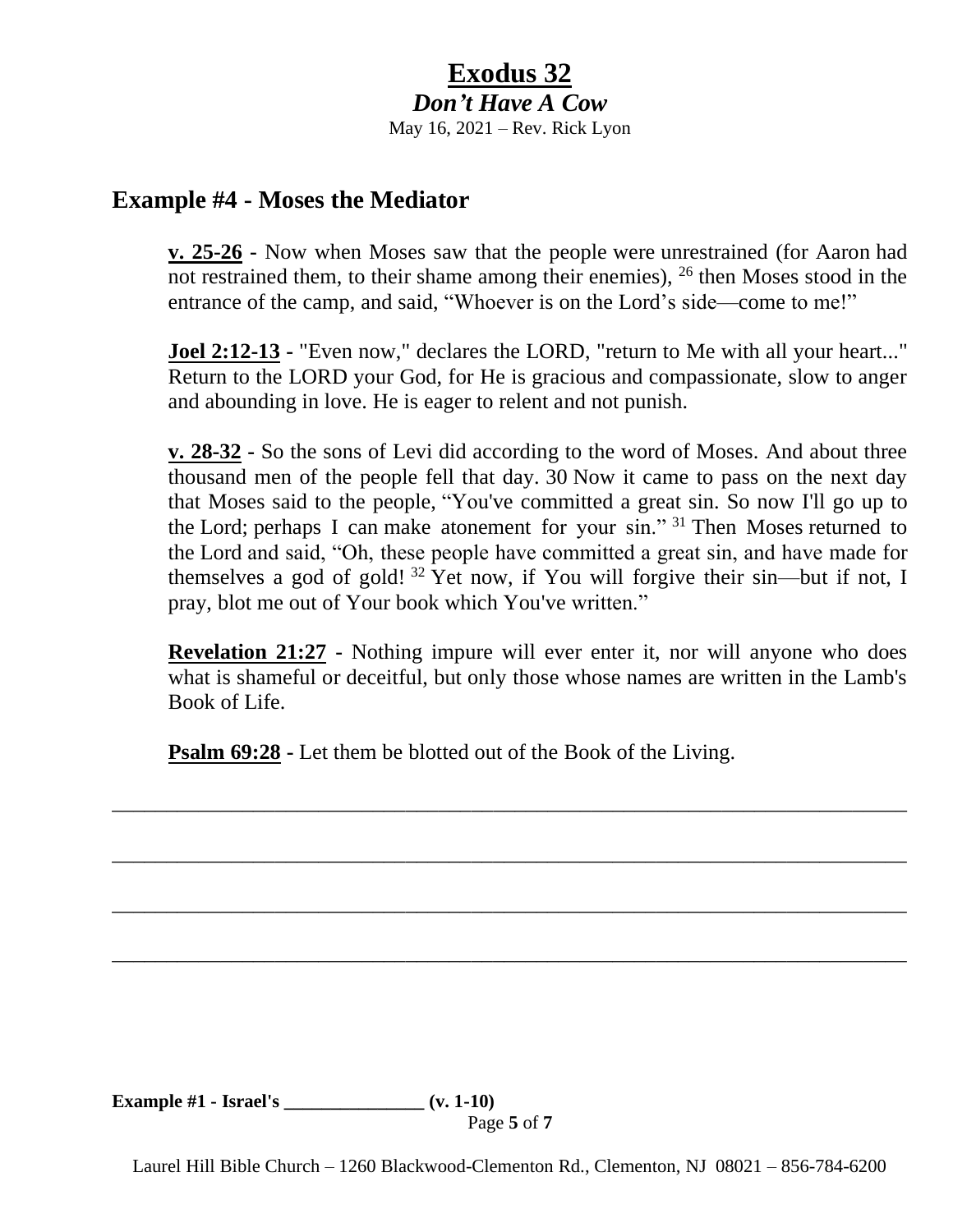# **Exodus 32** *Don't Have A Cow*

May 16, 2021 – Rev. Rick Lyon

## **Example #4 - Moses the Mediator**

**v. 25-26 -** Now when Moses saw that the people were unrestrained (for Aaron had not restrained them, to their shame among their enemies),  $^{26}$  then Moses stood in the entrance of the camp, and said, "Whoever is on the Lord's side—come to me!"

**Joel 2:12-13 -** "Even now," declares the LORD, "return to Me with all your heart..." Return to the LORD your God, for He is gracious and compassionate, slow to anger and abounding in love. He is eager to relent and not punish.

**v. 28-32 -** So the sons of Levi did according to the word of Moses. And about three thousand men of the people fell that day. 30 Now it came to pass on the next day that Moses said to the people, "You've committed a great sin. So now I'll go up to the Lord; perhaps I can make atonement for your sin." <sup>31</sup> Then Moses returned to the Lord and said, "Oh, these people have committed a great sin, and have made for themselves a god of gold!<sup>32</sup> Yet now, if You will forgive their sin—but if not, I pray, blot me out of Your book which You've written."

**Revelation 21:27 -** Nothing impure will ever enter it, nor will anyone who does what is shameful or deceitful, but only those whose names are written in the Lamb's Book of Life.

\_\_\_\_\_\_\_\_\_\_\_\_\_\_\_\_\_\_\_\_\_\_\_\_\_\_\_\_\_\_\_\_\_\_\_\_\_\_\_\_\_\_\_\_\_\_\_\_\_\_\_\_\_\_\_\_\_\_\_\_\_\_\_\_\_\_\_\_\_\_\_\_\_

\_\_\_\_\_\_\_\_\_\_\_\_\_\_\_\_\_\_\_\_\_\_\_\_\_\_\_\_\_\_\_\_\_\_\_\_\_\_\_\_\_\_\_\_\_\_\_\_\_\_\_\_\_\_\_\_\_\_\_\_\_\_\_\_\_\_\_\_\_\_\_\_\_

\_\_\_\_\_\_\_\_\_\_\_\_\_\_\_\_\_\_\_\_\_\_\_\_\_\_\_\_\_\_\_\_\_\_\_\_\_\_\_\_\_\_\_\_\_\_\_\_\_\_\_\_\_\_\_\_\_\_\_\_\_\_\_\_\_\_\_\_\_\_\_\_\_

\_\_\_\_\_\_\_\_\_\_\_\_\_\_\_\_\_\_\_\_\_\_\_\_\_\_\_\_\_\_\_\_\_\_\_\_\_\_\_\_\_\_\_\_\_\_\_\_\_\_\_\_\_\_\_\_\_\_\_\_\_\_\_\_\_\_\_\_\_\_\_\_\_

**Psalm 69:28 -** Let them be blotted out of the Book of the Living.

**Example #1 - Israel's \_\_\_\_\_\_\_\_\_\_\_\_\_\_\_ (v. 1-10)**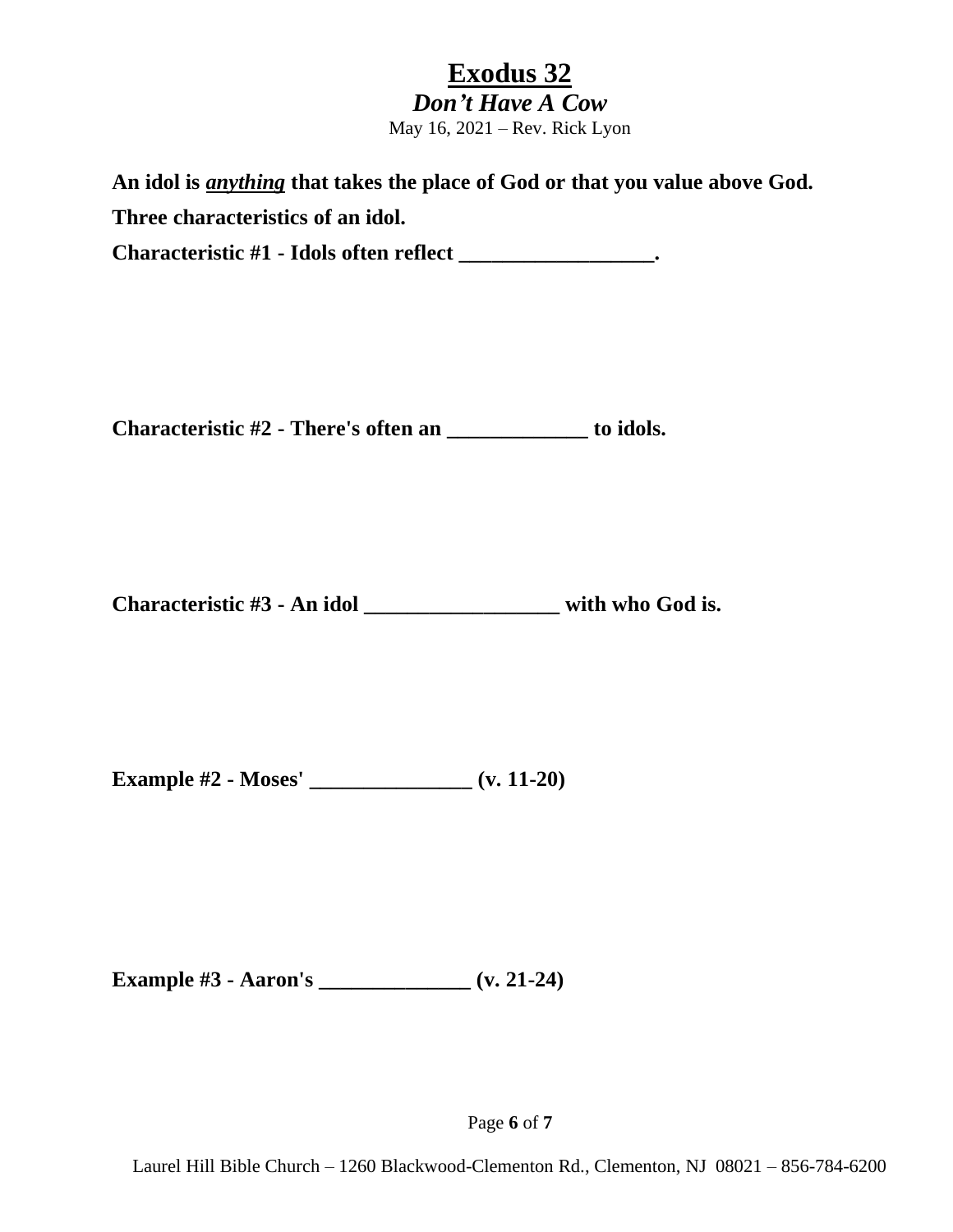# **Exodus 32**

*Don't Have A Cow* May 16, 2021 – Rev. Rick Lyon

**An idol is** *anything* **that takes the place of God or that you value above God. Three characteristics of an idol.**

**Characteristic #1 - Idols often reflect \_\_\_\_\_\_\_\_\_\_\_\_\_\_\_\_\_\_.**

**Characteristic #2 - There's often an \_\_\_\_\_\_\_\_\_\_\_\_\_ to idols.** 

**Characteristic #3 - An idol \_\_\_\_\_\_\_\_\_\_\_\_\_\_\_\_\_\_ with who God is.** 

**Example #2 - Moses' \_\_\_\_\_\_\_\_\_\_\_\_\_\_\_ (v. 11-20)**

**Example #3 - Aaron's \_\_\_\_\_\_\_\_\_\_\_\_\_\_ (v. 21-24)**

Page **6** of **7**